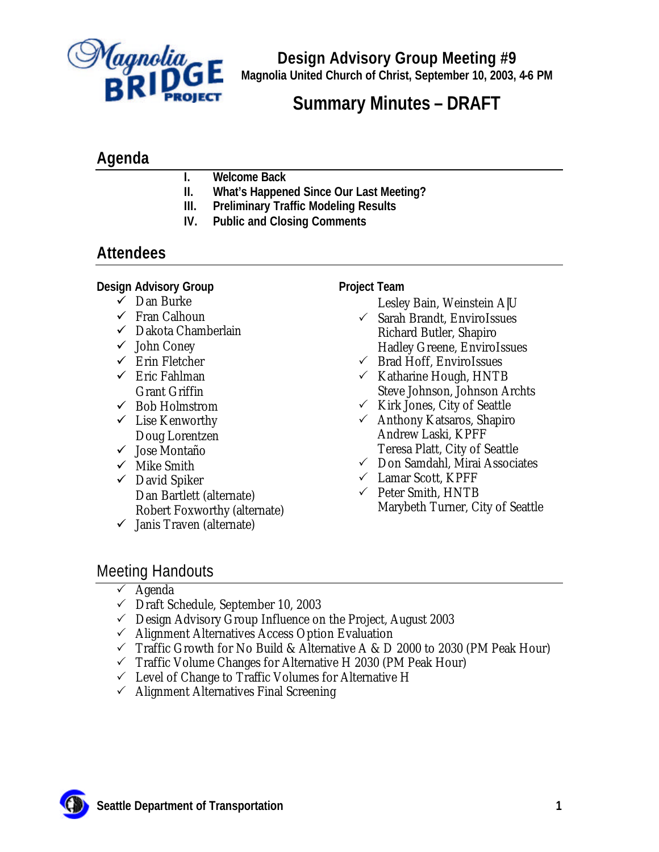

**Design Advisory Group Meeting #9 Magnolia United Church of Christ, September 10, 2003, 4-6 PM**

# **Summary Minutes – DRAFT**

### **Agenda**

- **I. Welcome Back**
- **II. What's Happened Since Our Last Meeting?**
- **III. Preliminary Traffic Modeling Results**
- **IV. Public and Closing Comments**

# **Attendees**

#### **Design Advisory Group**

- $\checkmark$  Dan Burke
- $\checkmark$  Fran Calhoun
- $\checkmark$  Dakota Chamberlain
- $\checkmark$  John Coney
- $\checkmark$  Erin Fletcher
- $\checkmark$  Eric Fahlman Grant Griffin
- $\checkmark$  Bob Holmstrom  $\checkmark$  Lise Kenworthy
- Doug Lorentzen
- ¸ Jose Montaño
- $\checkmark$  Mike Smith
- $\checkmark$  David Spiker Dan Bartlett (alternate) Robert Foxworthy (alternate)
- $\checkmark$  Janis Traven (alternate)

#### **Project Team**

Lesley Bain, Weinstein A|U

- $\checkmark$  Sarah Brandt, EnviroIssues Richard Butler, Shapiro Hadley Greene, EnviroIssues
- $\checkmark$  Brad Hoff, EnviroIssues
- $\checkmark$  Katharine Hough, HNTB Steve Johnson, Johnson Archts
- $\checkmark$  Kirk Jones, City of Seattle
- $\checkmark$  Anthony Katsaros, Shapiro Andrew Laski, KPFF Teresa Platt, City of Seattle
- $\checkmark$  Don Samdahl, Mirai Associates
- $\checkmark$  Lamar Scott, KPFF
- $\checkmark$  Peter Smith, HNTB Marybeth Turner, City of Seattle

### Meeting Handouts

- $\checkmark$  Agenda
- $\checkmark$  Draft Schedule, September 10, 2003
- $\checkmark$  Design Advisory Group Influence on the Project, August 2003
- $\checkmark$  Alignment Alternatives Access Option Evaluation
- $\checkmark$  Traffic Growth for No Build & Alternative A & D 2000 to 2030 (PM Peak Hour)
- $\checkmark$  Traffic Volume Changes for Alternative H 2030 (PM Peak Hour)
- $\checkmark$  Level of Change to Traffic Volumes for Alternative H
- $\checkmark$  Alignment Alternatives Final Screening

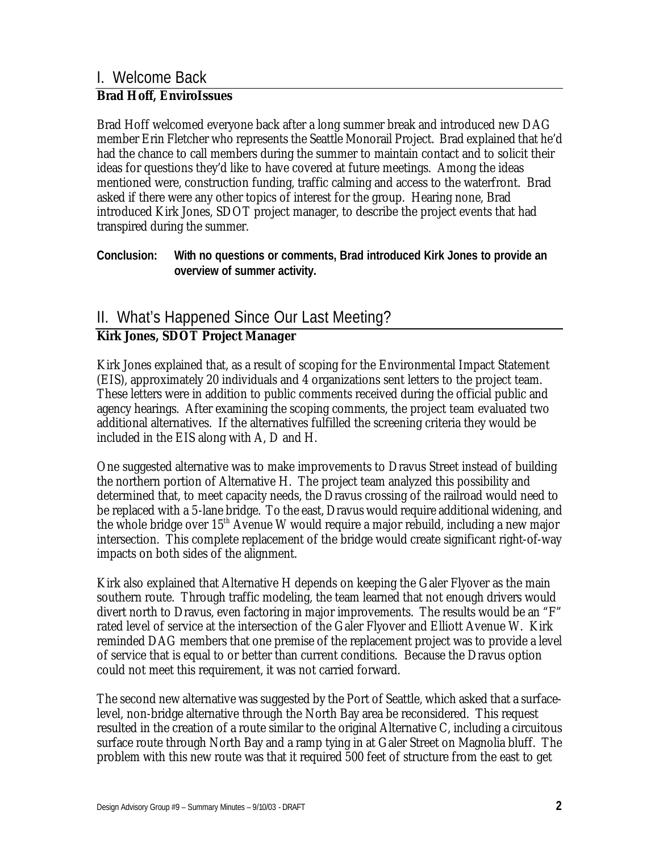# I. Welcome Back

#### *Brad Hoff, EnviroIssues*

Brad Hoff welcomed everyone back after a long summer break and introduced new DAG member Erin Fletcher who represents the Seattle Monorail Project. Brad explained that he'd had the chance to call members during the summer to maintain contact and to solicit their ideas for questions they'd like to have covered at future meetings. Among the ideas mentioned were, construction funding, traffic calming and access to the waterfront. Brad asked if there were any other topics of interest for the group. Hearing none, Brad introduced Kirk Jones, SDOT project manager, to describe the project events that had transpired during the summer.

**Conclusion: With no questions or comments, Brad introduced Kirk Jones to provide an overview of summer activity.**

# II. What's Happened Since Our Last Meeting?

### *Kirk Jones, SDOT Project Manager*

Kirk Jones explained that, as a result of scoping for the Environmental Impact Statement (EIS), approximately 20 individuals and 4 organizations sent letters to the project team. These letters were in addition to public comments received during the official public and agency hearings. After examining the scoping comments, the project team evaluated two additional alternatives. If the alternatives fulfilled the screening criteria they would be included in the EIS along with A, D and H.

One suggested alternative was to make improvements to Dravus Street instead of building the northern portion of Alternative H. The project team analyzed this possibility and determined that, to meet capacity needs, the Dravus crossing of the railroad would need to be replaced with a 5-lane bridge. To the east, Dravus would require additional widening, and the whole bridge over 15th Avenue W would require a major rebuild, including a new major intersection. This complete replacement of the bridge would create significant right-of-way impacts on both sides of the alignment.

Kirk also explained that Alternative H depends on keeping the Galer Flyover as the main southern route. Through traffic modeling, the team learned that not enough drivers would divert north to Dravus, even factoring in major improvements. The results would be an "F" rated level of service at the intersection of the Galer Flyover and Elliott Avenue W. Kirk reminded DAG members that one premise of the replacement project was to provide a level of service that is equal to or better than current conditions. Because the Dravus option could not meet this requirement, it was not carried forward.

The second new alternative was suggested by the Port of Seattle, which asked that a surfacelevel, non-bridge alternative through the North Bay area be reconsidered. This request resulted in the creation of a route similar to the original Alternative C, including a circuitous surface route through North Bay and a ramp tying in at Galer Street on Magnolia bluff. The problem with this new route was that it required 500 feet of structure from the east to get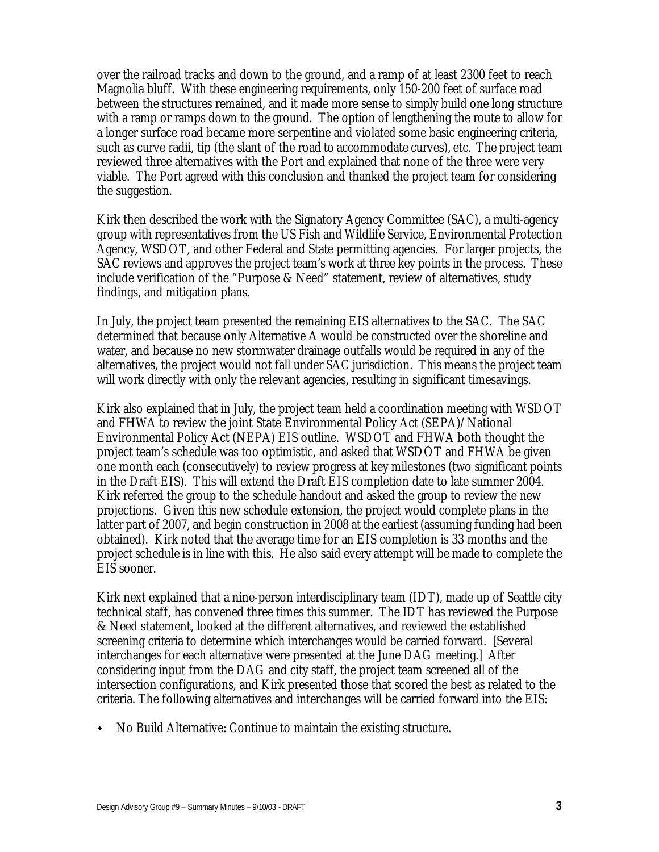over the railroad tracks and down to the ground, and a ramp of at least 2300 feet to reach Magnolia bluff. With these engineering requirements, only 150-200 feet of surface road between the structures remained, and it made more sense to simply build one long structure with a ramp or ramps down to the ground. The option of lengthening the route to allow for a longer surface road became more serpentine and violated some basic engineering criteria, such as curve radii, tip (the slant of the road to accommodate curves), etc. The project team reviewed three alternatives with the Port and explained that none of the three were very viable. The Port agreed with this conclusion and thanked the project team for considering the suggestion.

Kirk then described the work with the Signatory Agency Committee (SAC), a multi-agency group with representatives from the US Fish and Wildlife Service, Environmental Protection Agency, WSDOT, and other Federal and State permitting agencies. For larger projects, the SAC reviews and approves the project team's work at three key points in the process. These include verification of the "Purpose & Need" statement, review of alternatives, study findings, and mitigation plans.

In July, the project team presented the remaining EIS alternatives to the SAC. The SAC determined that because only Alternative A would be constructed over the shoreline and water, and because no new stormwater drainage outfalls would be required in any of the alternatives, the project would not fall under SAC jurisdiction. This means the project team will work directly with only the relevant agencies, resulting in significant timesavings.

Kirk also explained that in July, the project team held a coordination meeting with WSDOT and FHWA to review the joint State Environmental Policy Act (SEPA)/National Environmental Policy Act (NEPA) EIS outline. WSDOT and FHWA both thought the project team's schedule was too optimistic, and asked that WSDOT and FHWA be given one month each (consecutively) to review progress at key milestones (two significant points in the Draft EIS). This will extend the Draft EIS completion date to late summer 2004. Kirk referred the group to the schedule handout and asked the group to review the new projections. Given this new schedule extension, the project would complete plans in the latter part of 2007, and begin construction in 2008 at the earliest (assuming funding had been obtained). Kirk noted that the average time for an EIS completion is 33 months and the project schedule is in line with this. He also said every attempt will be made to complete the EIS sooner.

Kirk next explained that a nine-person interdisciplinary team (IDT), made up of Seattle city technical staff, has convened three times this summer. The IDT has reviewed the Purpose & Need statement, looked at the different alternatives, and reviewed the established screening criteria to determine which interchanges would be carried forward. [Several interchanges for each alternative were presented at the June DAG meeting.] After considering input from the DAG and city staff, the project team screened all of the intersection configurations, and Kirk presented those that scored the best as related to the criteria. The following alternatives and interchanges will be carried forward into the EIS:

 $\bullet$  No Build Alternative: Continue to maintain the existing structure.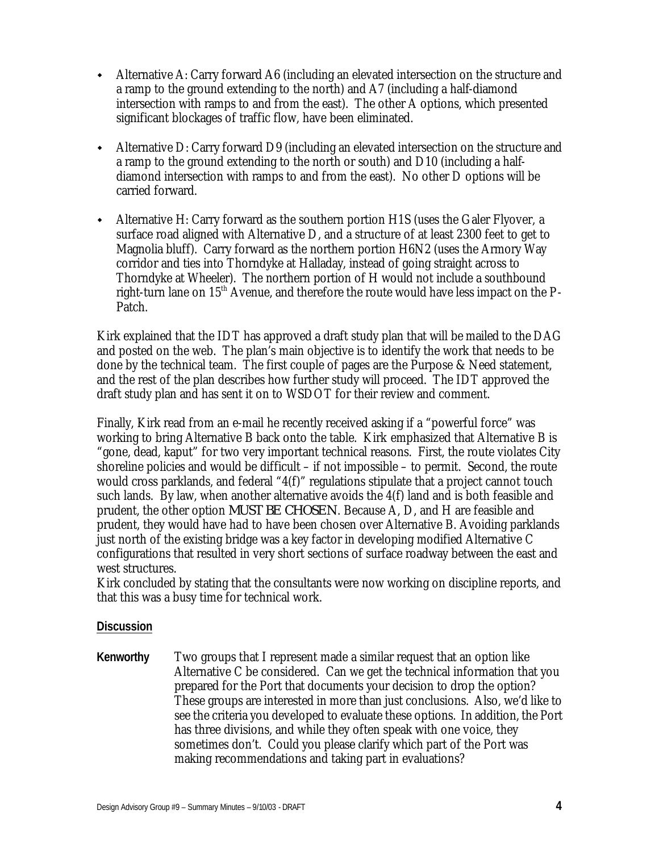- w Alternative A: Carry forward A6 (including an elevated intersection on the structure and a ramp to the ground extending to the north) and A7 (including a half-diamond intersection with ramps to and from the east). The other A options, which presented significant blockages of traffic flow, have been eliminated.
- Alternative D: Carry forward D9 (including an elevated intersection on the structure and a ramp to the ground extending to the north or south) and D10 (including a halfdiamond intersection with ramps to and from the east). No other D options will be carried forward.
- Alternative H: Carry forward as the southern portion H1S (uses the Galer Flyover, a surface road aligned with Alternative D, and a structure of at least 2300 feet to get to Magnolia bluff). Carry forward as the northern portion H6N2 (uses the Armory Way corridor and ties into Thorndyke at Halladay, instead of going straight across to Thorndyke at Wheeler). The northern portion of H would not include a southbound right-turn lane on 15th Avenue, and therefore the route would have less impact on the P-Patch.

Kirk explained that the IDT has approved a draft study plan that will be mailed to the DAG and posted on the web. The plan's main objective is to identify the work that needs to be done by the technical team. The first couple of pages are the Purpose & Need statement, and the rest of the plan describes how further study will proceed. The IDT approved the draft study plan and has sent it on to WSDOT for their review and comment.

Finally, Kirk read from an e-mail he recently received asking if a "powerful force" was working to bring Alternative B back onto the table. Kirk emphasized that Alternative B is "gone, dead, kaput" for two very important technical reasons. First, the route violates City shoreline policies and would be difficult – if not impossible – to permit. Second, the route would cross parklands, and federal "4(f)" regulations stipulate that a project cannot touch such lands. By law, when another alternative avoids the  $4(f)$  land and is both feasible and prudent, the other option *MUST BE CHOSEN*. Because A, D, and H are feasible and prudent, they would have had to have been chosen over Alternative B. Avoiding parklands just north of the existing bridge was a key factor in developing modified Alternative C configurations that resulted in very short sections of surface roadway between the east and west structures.

Kirk concluded by stating that the consultants were now working on discipline reports, and that this was a busy time for technical work.

#### **Discussion**

**Kenworthy** Two groups that I represent made a similar request that an option like Alternative C be considered. Can we get the technical information that you prepared for the Port that documents your decision to drop the option? These groups are interested in more than just conclusions. Also, we'd like to see the criteria you developed to evaluate these options. In addition, the Port has three divisions, and while they often speak with one voice, they sometimes don't. Could you please clarify which part of the Port was making recommendations and taking part in evaluations?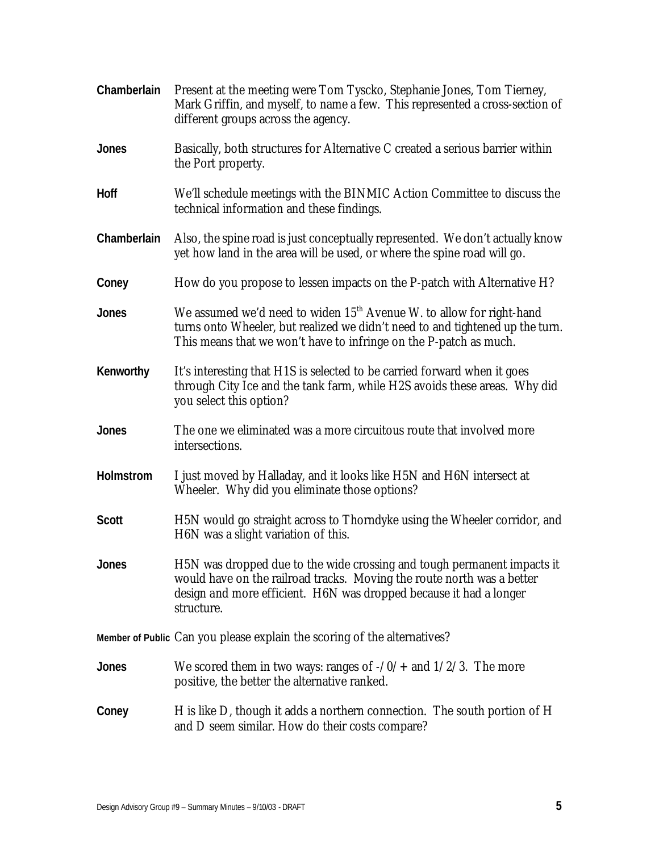| Chamberlain  | Present at the meeting were Tom Tyscko, Stephanie Jones, Tom Tierney,<br>Mark Griffin, and myself, to name a few. This represented a cross-section of<br>different groups across the agency.                                           |
|--------------|----------------------------------------------------------------------------------------------------------------------------------------------------------------------------------------------------------------------------------------|
| <b>Jones</b> | Basically, both structures for Alternative C created a serious barrier within<br>the Port property.                                                                                                                                    |
| Hoff         | We'll schedule meetings with the BINMIC Action Committee to discuss the<br>technical information and these findings.                                                                                                                   |
| Chamberlain  | Also, the spine road is just conceptually represented. We don't actually know<br>yet how land in the area will be used, or where the spine road will go.                                                                               |
| Coney        | How do you propose to lessen impacts on the P-patch with Alternative H?                                                                                                                                                                |
| <b>Jones</b> | We assumed we'd need to widen 15 <sup>th</sup> Avenue W. to allow for right-hand<br>turns onto Wheeler, but realized we didn't need to and tightened up the turn.<br>This means that we won't have to infringe on the P-patch as much. |
| Kenworthy    | It's interesting that H1S is selected to be carried forward when it goes<br>through City Ice and the tank farm, while H2S avoids these areas. Why did<br>you select this option?                                                       |
| <b>Jones</b> | The one we eliminated was a more circuitous route that involved more<br>intersections.                                                                                                                                                 |
| Holmstrom    | I just moved by Halladay, and it looks like H5N and H6N intersect at<br>Wheeler. Why did you eliminate those options?                                                                                                                  |
| <b>Scott</b> | H5N would go straight across to Thorndyke using the Wheeler corridor, and<br>H6N was a slight variation of this.                                                                                                                       |
| Jones        | H5N was dropped due to the wide crossing and tough permanent impacts it<br>would have on the railroad tracks. Moving the route north was a better<br>design and more efficient. H6N was dropped because it had a longer<br>structure.  |
|              | Member of Public Can you please explain the scoring of the alternatives?                                                                                                                                                               |
| Jones        | We scored them in two ways: ranges of $-70/4$ and $1/2/3$ . The more<br>positive, the better the alternative ranked.                                                                                                                   |
| Coney        | H is like D, though it adds a northern connection. The south portion of H<br>and D seem similar. How do their costs compare?                                                                                                           |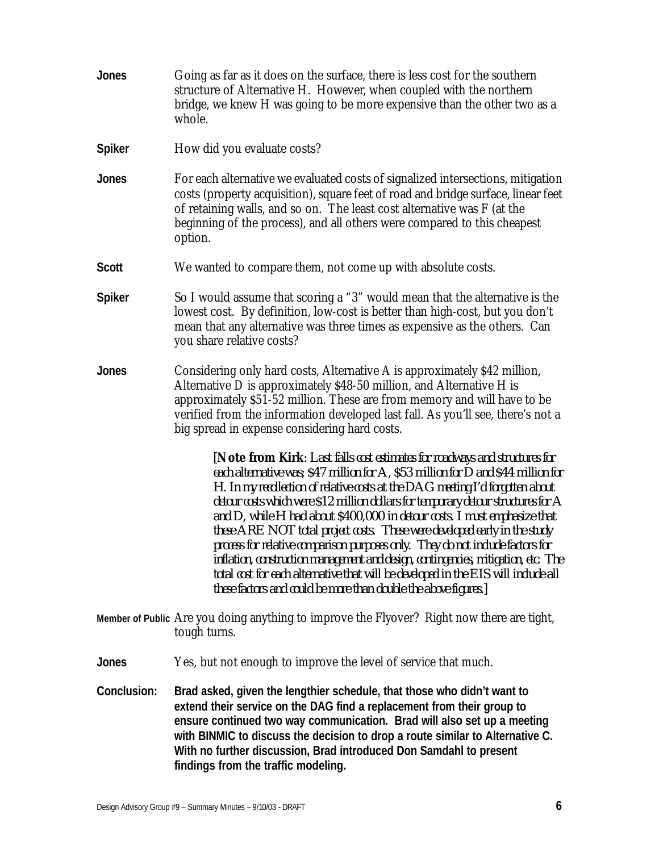- **Jones** Going as far as it does on the surface, there is less cost for the southern structure of Alternative H. However, when coupled with the northern bridge, we knew H was going to be more expensive than the other two as a whole. **Spiker** How did you evaluate costs? **Jones** For each alternative we evaluated costs of signalized intersections, mitigation costs (property acquisition), square feet of road and bridge surface, linear feet of retaining walls, and so on. The least cost alternative was F (at the beginning of the process), and all others were compared to this cheapest option. **Scott** We wanted to compare them, not come up with absolute costs. **Spiker** So I would assume that scoring a "3" would mean that the alternative is the lowest cost. By definition, low-cost is better than high-cost, but you don't mean that any alternative was three times as expensive as the others. Can you share relative costs? **Jones** Considering only hard costs, Alternative A is approximately \$42 million, Alternative D is approximately \$48-50 million, and Alternative H is approximately \$51-52 million. These are from memory and will have to be verified from the information developed last fall. As you'll see, there's not a big spread in expense considering hard costs. *[Note from Kirk: Last falls cost estimates for roadways and structures for each alternative was; \$47 million for A, \$53 million for D and \$44 million for H. In my recollection of relative costs at the DAG meeting I'd forgotten about detour costs which were \$12 million dollars for temporary detour structures for A and D, while H had about \$400,000 in detour costs. I must emphasize that these ARE NOT total project costs. These were developed early in the study process for relative comparison purposes only. They do not include factors for inflation, construction management and design, contingencies, mitigation, etc. The total cost for each alternative that will be developed in the EIS will include all these factors and could be more than double the above figures.]* **Member of Public** Are you doing anything to improve the Flyover? Right now there are tight, tough turns. **Jones** Yes, but not enough to improve the level of service that much. **Conclusion: Brad asked, given the lengthier schedule, that those who didn't want to**
- **extend their service on the DAG find a replacement from their group to ensure continued two way communication. Brad will also set up a meeting with BINMIC to discuss the decision to drop a route similar to Alternative C. With no further discussion, Brad introduced Don Samdahl to present findings from the traffic modeling.**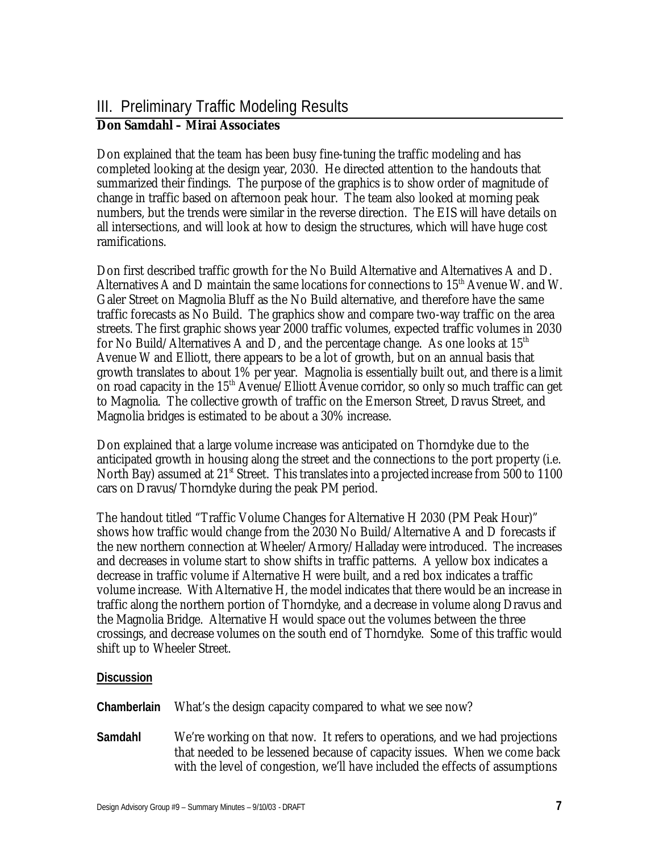# III. Preliminary Traffic Modeling Results

### *Don Samdahl – Mirai Associates*

Don explained that the team has been busy fine-tuning the traffic modeling and has completed looking at the design year, 2030. He directed attention to the handouts that summarized their findings. The purpose of the graphics is to show order of magnitude of change in traffic based on afternoon peak hour. The team also looked at morning peak numbers, but the trends were similar in the reverse direction. The EIS will have details on all intersections, and will look at how to design the structures, which will have huge cost ramifications.

Don first described traffic growth for the No Build Alternative and Alternatives A and D. Alternatives A and D maintain the same locations for connections to  $15<sup>th</sup>$  Avenue W. and W. Galer Street on Magnolia Bluff as the No Build alternative, and therefore have the same traffic forecasts as No Build. The graphics show and compare two-way traffic on the area streets. The first graphic shows year 2000 traffic volumes, expected traffic volumes in 2030 for No Build/Alternatives A and D, and the percentage change. As one looks at  $15<sup>th</sup>$ Avenue W and Elliott, there appears to be a lot of growth, but on an annual basis that growth translates to about 1% per year. Magnolia is essentially built out, and there is a limit on road capacity in the 15<sup>th</sup> Avenue/Elliott Avenue corridor, so only so much traffic can get to Magnolia. The collective growth of traffic on the Emerson Street, Dravus Street, and Magnolia bridges is estimated to be about a 30% increase.

Don explained that a large volume increase was anticipated on Thorndyke due to the anticipated growth in housing along the street and the connections to the port property (i.e. North Bay) assumed at  $21<sup>st</sup>$  Street. This translates into a projected increase from 500 to 1100 cars on Dravus/Thorndyke during the peak PM period.

The handout titled "Traffic Volume Changes for Alternative H 2030 (PM Peak Hour)" shows how traffic would change from the 2030 No Build/Alternative A and D forecasts if the new northern connection at Wheeler/Armory/Halladay were introduced. The increases and decreases in volume start to show shifts in traffic patterns. A yellow box indicates a decrease in traffic volume if Alternative H were built, and a red box indicates a traffic volume increase. With Alternative H, the model indicates that there would be an increase in traffic along the northern portion of Thorndyke, and a decrease in volume along Dravus and the Magnolia Bridge. Alternative H would space out the volumes between the three crossings, and decrease volumes on the south end of Thorndyke. Some of this traffic would shift up to Wheeler Street.

#### **Discussion**

- **Chamberlain** What's the design capacity compared to what we see now?
- **Samdahl** We're working on that now. It refers to operations, and we had projections that needed to be lessened because of capacity issues. When we come back with the level of congestion, we'll have included the effects of assumptions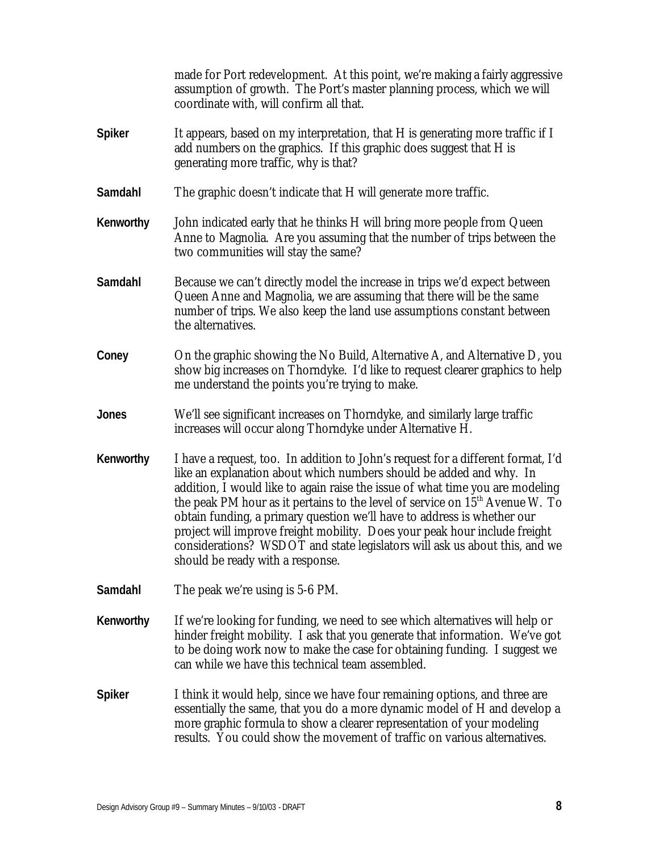made for Port redevelopment. At this point, we're making a fairly aggressive assumption of growth. The Port's master planning process, which we will coordinate with, will confirm all that.

- **Spiker** It appears, based on my interpretation, that H is generating more traffic if I add numbers on the graphics. If this graphic does suggest that H is generating more traffic, why is that?
- **Samdahl** The graphic doesn't indicate that H will generate more traffic.
- **Kenworthy** John indicated early that he thinks H will bring more people from Queen Anne to Magnolia. Are you assuming that the number of trips between the two communities will stay the same?
- **Samdahl** Because we can't directly model the increase in trips we'd expect between Queen Anne and Magnolia, we are assuming that there will be the same number of trips. We also keep the land use assumptions constant between the alternatives.
- **Coney** On the graphic showing the No Build, Alternative A, and Alternative D, you show big increases on Thorndyke. I'd like to request clearer graphics to help me understand the points you're trying to make.
- **Jones** We'll see significant increases on Thorndyke, and similarly large traffic increases will occur along Thorndyke under Alternative H.
- **Kenworthy** I have a request, too. In addition to John's request for a different format, I'd like an explanation about which numbers should be added and why. In addition, I would like to again raise the issue of what time you are modeling the peak PM hour as it pertains to the level of service on  $15<sup>th</sup>$  Avenue W. To obtain funding, a primary question we'll have to address is whether our project will improve freight mobility. Does your peak hour include freight considerations? WSDOT and state legislators will ask us about this, and we should be ready with a response.
- **Samdahl** The peak we're using is 5-6 PM.
- **Kenworthy** If we're looking for funding, we need to see which alternatives will help or hinder freight mobility. I ask that you generate that information. We've got to be doing work now to make the case for obtaining funding. I suggest we can while we have this technical team assembled.
- **Spiker** I think it would help, since we have four remaining options, and three are essentially the same, that you do a more dynamic model of H and develop a more graphic formula to show a clearer representation of your modeling results. You could show the movement of traffic on various alternatives.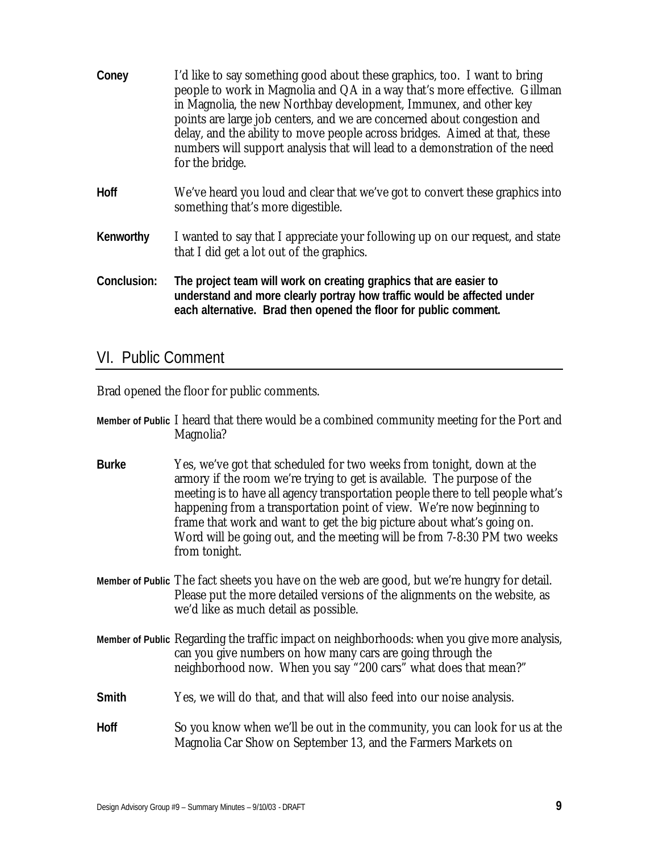| Coney       | I'd like to say something good about these graphics, too. I want to bring<br>people to work in Magnolia and QA in a way that's more effective. Gillman<br>in Magnolia, the new Northbay development, Immunex, and other key<br>points are large job centers, and we are concerned about congestion and<br>delay, and the ability to move people across bridges. Aimed at that, these<br>numbers will support analysis that will lead to a demonstration of the need<br>for the bridge. |
|-------------|----------------------------------------------------------------------------------------------------------------------------------------------------------------------------------------------------------------------------------------------------------------------------------------------------------------------------------------------------------------------------------------------------------------------------------------------------------------------------------------|
| <b>Hoff</b> | We've heard you loud and clear that we've got to convert these graphics into<br>something that's more digestible.                                                                                                                                                                                                                                                                                                                                                                      |
| Kenworthy   | I wanted to say that I appreciate your following up on our request, and state<br>that I did get a lot out of the graphics.                                                                                                                                                                                                                                                                                                                                                             |
| Conclusion: | The project team will work on creating graphics that are easier to<br>understand and more clearly portray how traffic would be affected under<br>each alternative. Brad then opened the floor for public comment.                                                                                                                                                                                                                                                                      |

### VI. Public Comment

Brad opened the floor for public comments.

| Member of Public I heard that there would be a combined community meeting for the Port and |  |
|--------------------------------------------------------------------------------------------|--|
| Magnolia?                                                                                  |  |

- **Burke** Yes, we've got that scheduled for two weeks from tonight, down at the armory if the room we're trying to get is available. The purpose of the meeting is to have all agency transportation people there to tell people what's happening from a transportation point of view. We're now beginning to frame that work and want to get the big picture about what's going on. Word will be going out, and the meeting will be from 7-8:30 PM two weeks from tonight.
- **Member of Public** The fact sheets you have on the web are good, but we're hungry for detail. Please put the more detailed versions of the alignments on the website, as we'd like as much detail as possible.
- **Member of Public** Regarding the traffic impact on neighborhoods: when you give more analysis, can you give numbers on how many cars are going through the neighborhood now. When you say "200 cars" what does that mean?"
- **Smith** Yes, we will do that, and that will also feed into our noise analysis.
- **Hoff** So you know when we'll be out in the community, you can look for us at the Magnolia Car Show on September 13, and the Farmers Markets on